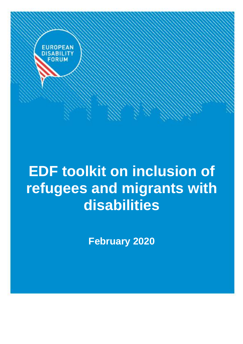

# **EDF toolkit on inclusion of refugees and migrants with disabilities**

**February 2020**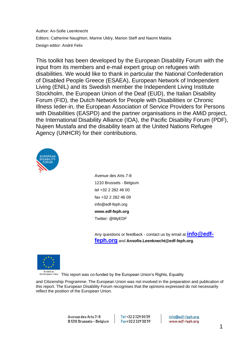Author: An-Sofie Leenknecht Editors: Catherine Naughton, Marine Uldry, Marion Steff and Naomi Mabita Design editor: André Felix

This toolkit has been developed by the European Disability Forum with the input from its members and e-mail expert group on refugees with disabilities. We would like to thank in particular the National Confederation of Disabled People Greece (ESAEA), European Network of Independent Living (ENIL) and its Swedish member the Independent Living Institute Stockholm, the European Union of the Deaf (EUD), the Italian Disability Forum (FID), the Dutch Network for People with Disabilities or Chronic Illness Ieder-in, the European Association of Service Providers for Persons with Disabilities (EASPD) and the partner organisations in the AMiD project, the International Disability Alliance (IDA), the Pacific Disability Forum (PDF), Nujeen Mustafa and the disability team at the United Nations Refugee Agency (UNHCR) for their contributions.



Avenue des Arts 7-8 1210 Brussels - Belgium tel +32 2 282 46 00 fax +32 2 282 46 09 info@edf-feph.org **www.edf-feph.org** Twitter: @MyEDF

Any questions or feedback - contact us by email at **[info@edf](mailto:info@edf-feph.org)[feph.org](mailto:info@edf-feph.org)** and **Ansofie.Leenknecht@edf-feph.org**.



Funded by<br>the European Union This report was co-funded by the European Union's Rights, Equality

and Citizenship Programme. The European Union was not involved in the preparation and publication of this report. The European Disability Forum recognises that the opinions expressed do not necessarily reflect the position of the European Union.

Tel +32 2 329 00 59 Fax+32 2 329 00 59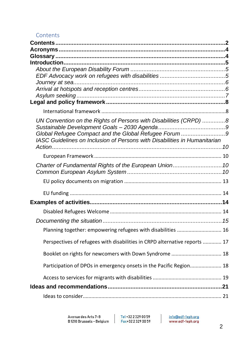#### <span id="page-2-0"></span>Contents

| UN Convention on the Rights of Persons with Disabilities (CRPD) 8          |  |
|----------------------------------------------------------------------------|--|
|                                                                            |  |
| Global Refugee Compact and the Global Refugee Forum 9                      |  |
| IASC Guidelines on Inclusion of Persons with Disabilities in Humanitarian  |  |
|                                                                            |  |
|                                                                            |  |
| Charter of Fundamental Rights of the European Union 10                     |  |
|                                                                            |  |
|                                                                            |  |
|                                                                            |  |
|                                                                            |  |
|                                                                            |  |
|                                                                            |  |
| Planning together: empowering refugees with disabilities  16               |  |
| Perspectives of refugees with disabilities in CRPD alternative reports  17 |  |
|                                                                            |  |
| Booklet on rights for newcomers with Down Syndrome  18                     |  |
| Participation of DPOs in emergency onsets in the Pacific Region 18         |  |
|                                                                            |  |
|                                                                            |  |
|                                                                            |  |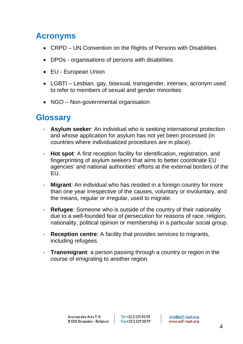# <span id="page-4-0"></span>**Acronyms**

- CRPD UN Convention on the Rights of Persons with Disabilities
- DPOs organisations of persons with disabilities
- EU European Union
- LGBTI Lesbian, gay, bisexual, transgender, intersex, acronym used to refer to members of sexual and gender minorities
- NGO Non-governmental organisation

# <span id="page-4-1"></span>**Glossary**

- **Asylum seeker**: An individual who is seeking international protection and whose application for asylum has not yet been processed (in countries where individualized procedures are in place).
- **Hot spot:** A first reception facility for identification, registration, and fingerprinting of asylum seekers that aims to better coordinate EU agencies' and national authorities' efforts at the external borders of the EU.
- **Migrant**: An individual who has resided in a foreign country for more than one year irrespective of the causes, voluntary or involuntary, and the means, regular or irregular, used to migrate.
- **Refugee**: Someone who is outside of the country of their nationality due to a well-founded fear of persecution for reasons of race, religion, nationality, political opinion or membership in a particular social group.
- **Reception centre**: A facility that provides services to migrants, including refugees.
- **Transmigrant**: a person passing through a country or region in the course of emigrating to another region.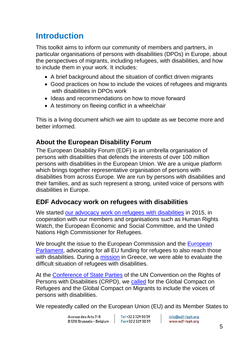# <span id="page-5-0"></span>**Introduction**

This toolkit aims to inform our community of members and partners, in particular organisations of persons with disabilities (DPOs) in Europe, about the perspectives of migrants, including refugees, with disabilities, and how to include them in your work. It includes:

- A brief background about the situation of conflict driven migrants
- Good practices on how to include the voices of refugees and migrants with disabilities in DPOs work
- Ideas and recommendations on how to move forward
- A testimony on fleeing conflict in a wheelchair

This is a living document which we aim to update as we become more and better informed.

### <span id="page-5-1"></span>**About the European Disability Forum**

The European Disability Forum (EDF) is an umbrella organisation of persons with disabilities that defends the interests of over 100 million persons with disabilities in the European Union. We are a unique platform which brings together representative organisation of persons with disabilities from across Europe. We are run by persons with disabilities and their families, and as such represent a strong, united voice of persons with disabilities in Europe.

#### <span id="page-5-2"></span>**EDF Advocacy work on refugees with disabilities**

We started [our advocacy work on refugees](http://www.edf-feph.org/migration-refugees-disabilities) with disabilities in 2015, in cooperation with our members and organisations such as Human Rights Watch, the European Economic and Social Committee, and the United Nations High Commissioner for Refugees.

We brought the issue to the European Commission and the [European](http://www.edf-feph.org/newsroom/news/eu-ensure-aid-reaches-refugees-disabilities)  [Parliament,](http://www.edf-feph.org/newsroom/news/eu-ensure-aid-reaches-refugees-disabilities) advocating for all EU funding for refugees to also reach those with disabilities. During a [mission](https://www.eesc.europa.eu/news-media/news/eesc-delegation-evaluates-situation-refugees-and-other-migrants-disabilities-reception-structures-lesbos-and-athens) in Greece, we were able to evaluate the difficult situation of refugees with disabilities.

At the [Conference of State Parties](http://www.edf-feph.org/newsroom/news/rights-refugees-disabilities-should-be-respected) of the UN Convention on the Rights of Persons with Disabilities (CRPD), we [called](http://www.edf-feph.org/sites/default/files/persons_with_disabilites_on_the_move_-_recommendations.pdf) for the Global Compact on Refugees and the Global Compact on Migrants to include the voices of persons with disabilities.

We repeatedly called on the European Union (EU) and its Member States to

Tel +32 2 329 00 59 Fax+32 2 329 00 59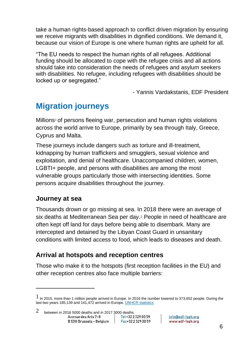take a human rights-based approach to conflict driven migration by ensuring we receive migrants with disabilities in dignified conditions. We demand it, because our vision of Europe is one where human rights are upheld for all.

"The EU needs to respect the human rights of all refugees. Additional funding should be allocated to cope with the refugee crisis and all actions should take into consideration the needs of refugees and asylum seekers with disabilities. No refugee, including refugees with disabilities should be locked up or segregated."

- Yannis Vardakstanis, EDF President

# **Migration journeys**

Millions<sup>1</sup> of persons fleeing war, persecution and human rights violations across the world arrive to Europe, primarily by sea through Italy, Greece, Cyprus and Malta.

These journeys include dangers such as torture and ill-treatment, kidnapping by human traffickers and smugglers, sexual violence and exploitation, and denial of healthcare. Unaccompanied children, women, LGBTI+ people, and persons with disabilities are among the most vulnerable groups particularly those with intersecting identities. Some persons acquire disabilities throughout the journey.

#### <span id="page-6-0"></span>**Journey at sea**

Thousands drown or go missing at sea. In 2018 there were an average of six deaths at Mediterranean Sea per day.<sup>2</sup>. People in need of healthcare are often kept off land for days before being able to disembark. Many are intercepted and detained by the Libyan Coast Guard in unsanitary conditions with limited access to food, which leads to diseases and death.

#### <span id="page-6-1"></span>**Arrival at hotspots and reception centres**

Those who make it to the hotspots (first reception facilities in the EU) and other reception centres also face multiple barriers:

 $1$  In 2015, more than 1 million people arrived in Europe. In 2016 the number lowered to 373,652 people. During the last two years 185,139 and 141,472 arrived in Europe[. UNHCR statistics](https://data2.unhcr.org/en/documents/details/67712)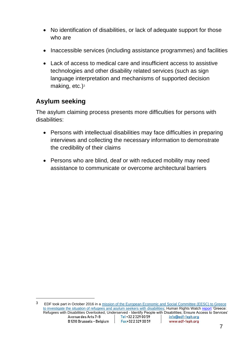- No identification of disabilities, or lack of adequate support for those who are
- Inaccessible services (including assistance programmes) and facilities
- Lack of access to medical care and insufficient access to assistive technologies and other disability related services (such as sign language interpretation and mechanisms of supported decision making, etc.)<sup>3</sup>

#### <span id="page-7-0"></span>**Asylum seeking**

The asylum claiming process presents more difficulties for persons with disabilities:

- Persons with intellectual disabilities may face difficulties in preparing interviews and collecting the necessary information to demonstrate the credibility of their claims
- Persons who are blind, deaf or with reduced mobility may need assistance to communicate or overcome architectural barriers

<sup>&</sup>lt;sup>3</sup> EDF took part in October 2016 in a [mission of the](http://www.eesc.europa.eu/?i=portal.en.news.40684) [European Economic and Social Committee \(EESC\)](http://www.eesc.europa.eu/) to Greece [to investigate the situation of refugees and asylum seekers with disabilities;](http://www.eesc.europa.eu/?i=portal.en.news.40684) Human Rights Watch [report](https://www.hrw.org/news/2017/01/18/greece-refugees-disabilities-overlooked-underserved) 'Greece: Refugees with Disabilities Overlooked, Underserved - Identify People with Disabilities; Ensure Access to Services'<br>Avenue des Arts 7-8 | Tel +32 2 329 00 59 | info@edf-feph.org Avenue des Arts 7-8 info@edf-feph.org B1210 Brussels - Belaium Fax+32 2 329 00 59 www.edf-feph.org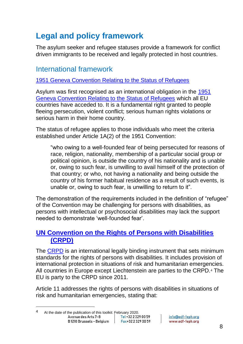# <span id="page-8-0"></span>**Legal and policy framework**

The asylum seeker and refugee statuses provide a framework for conflict driven immigrants to be received and legally protected in host countries.

## <span id="page-8-1"></span>International framework

[1951 Geneva Convention Relating to the Status of Refugees](https://www.unhcr.org/1951-refugee-convention.html)

Asylum was first recognised as an international obligation in the [1951](https://www.unhcr.org/1951-refugee-convention.html)  [Geneva Convention Relating to the Status of Refugees](https://www.unhcr.org/1951-refugee-convention.html) which all EU countries have acceded to. It is a fundamental right granted to people fleeing persecution, violent conflict; serious human rights violations or serious harm in their home country.

The status of refugee applies to those individuals who meet the criteria established under Article 1A(2) of the 1951 Convention:

"who owing to a well-founded fear of being persecuted for reasons of race, religion, nationality, membership of a particular social group or political opinion, is outside the country of his nationality and is unable or, owing to such fear, is unwilling to avail himself of the protection of that country; or who, not having a nationality and being outside the country of his former habitual residence as a result of such events, is unable or, owing to such fear, is unwilling to return to it".

The demonstration of the requirements included in the definition of "refugee" of the Convention may be challenging for persons with disabilities, as persons with intellectual or psychosocial disabilities may lack the support needed to demonstrate 'well-founded fear'.

#### <span id="page-8-2"></span>**[UN Convention on the Rights of Persons with Disabilities](https://www.un.org/development/desa/disabilities/convention-on-the-rights-of-persons-with-disabilities/convention-on-the-rights-of-persons-with-disabilities-2.html)  [\(CRPD\)](https://www.un.org/development/desa/disabilities/convention-on-the-rights-of-persons-with-disabilities/convention-on-the-rights-of-persons-with-disabilities-2.html)**

The [CRPD](https://www.un.org/development/desa/disabilities/convention-on-the-rights-of-persons-with-disabilities/convention-on-the-rights-of-persons-with-disabilities-2.html) is an international legally binding instrument that sets minimum standards for the rights of persons with disabilities. It includes provision of international protection in situations of risk and humanitarian emergencies. All countries in Europe except Liechtenstein are parties to the CRPD.<sup>4</sup> The EU is party to the CRPD since 2011.

Article 11 addresses the rights of persons with disabilities in situations of risk and humanitarian emergencies, stating that:

<sup>4</sup> At the date of the publication of this toolkit: February 2020.<br>Avenue des Arts 7-8 Avenue des Arts 7-8 Fax+32 2 329 00 59 B 1210 Brussels - Belaium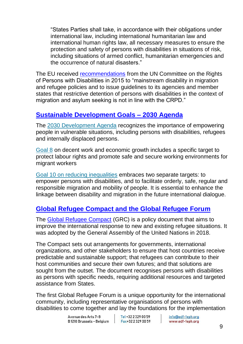"States Parties shall take, in accordance with their obligations under international law, including international humanitarian law and international human rights law, all necessary measures to ensure the protection and safety of persons with disabilities in situations of risk, including situations of armed conflict, humanitarian emergencies and the occurrence of natural disasters."

The EU received [recommendations](https://tbinternet.ohchr.org/_layouts/15/treatybodyexternal/Download.aspx?symbolno=CRPD%2FC%2FEU%2FCO%2F1&Lang=en) from the UN Committee on the Rights of Persons with Disabilities in 2015 to "mainstream disability in migration and refugee policies and to issue guidelines to its agencies and member states that restrictive detention of persons with disabilities in the context of migration and asylum seeking is not in line with the CRPD."

#### <span id="page-9-0"></span>**[Sustainable Development Goals –](https://www.un.org/development/desa/disabilities/envision2030.html) 2030 Agenda**

The [2030 Development Agenda](https://www.un.org/development/desa/disabilities/envision2030.html) recognizes the importance of empowering people in vulnerable situations, including persons with disabilities, refugees and internally displaced persons.

[Goal 8](https://www.un.org/development/desa/disabilities/envision2030-goal8.html) on decent work and economic growth includes a specific target to protect labour rights and promote safe and secure working environments for migrant workers

[Goal 10 on reducing inequalities](https://www.un.org/development/desa/disabilities/envision2030-goal10.html) embraces two separate targets: to empower persons with disabilities, and to facilitate orderly, safe, regular and responsible migration and mobility of people. It is essential to enhance the linkage between disability and migration in the future international dialogue.

#### <span id="page-9-1"></span>**[Global Refugee Compact and the Global Refugee Forum](https://www.unhcr.org/the-global-compact-on-refugees.html)**

The [Global Refugee Compact](https://www.unhcr.org/the-global-compact-on-refugees.html) (GRC) is a policy document that aims to improve the international response to new and existing refugee situations. It was adopted by the General Assembly of the United Nations in 2018.

The Compact sets out arrangements for governments, international organizations, and other stakeholders to ensure that host countries receive predictable and sustainable support; that refugees can contribute to their host communities and secure their own futures; and that solutions are sought from the outset. The document recognises persons with disabilities as persons with specific needs, requiring additional resources and targeted assistance from States.

The first Global Refugee Forum is a unique opportunity for the international community, including representative organisations of persons with disabilities to come together and lay the foundations for the implementation

Tel +32 2 329 00 59 Fax+32 2 329 00 59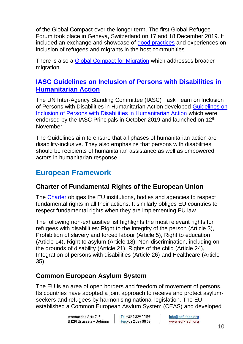of the Global Compact over the longer term. The first Global Refugee Forum took place in Geneva, Switzerland on 17 and 18 December 2019. It included an exchange and showcase of [good practices](https://www.unhcr.org/good-practices.html) and experiences on inclusion of refugees and migrants in the host communities.

There is also a [Global Compact for Migration](https://www.iom.int/global-compact-migration) which addresses broader migration.

#### <span id="page-10-0"></span>**[IASC Guidelines on Inclusion of Persons with Disabilities in](https://interagencystandingcommittee.org/iasc-task-team-inclusion-persons-disabilities-humanitarian-action/documents/launch-iasc-guidelines)  [Humanitarian Action](https://interagencystandingcommittee.org/iasc-task-team-inclusion-persons-disabilities-humanitarian-action/documents/launch-iasc-guidelines)**

The UN Inter-Agency Standing Committee (IASC) Task Team on Inclusion of Persons with Disabilities in Humanitarian Action developed [Guidelines on](https://interagencystandingcommittee.org/iasc-task-team-inclusion-persons-disabilities-humanitarian-action/documents/launch-iasc-guidelines)  [Inclusion of Persons with Disabilities in Humanitarian Action](https://interagencystandingcommittee.org/iasc-task-team-inclusion-persons-disabilities-humanitarian-action/documents/launch-iasc-guidelines) which were endorsed by the IASC Principals in October 2019 and launched on 12<sup>th</sup> November.

The Guidelines aim to ensure that all phases of humanitarian action are disability-inclusive. They also emphasize that persons with disabilities should be recipients of humanitarian assistance as well as empowered actors in humanitarian response.

## <span id="page-10-1"></span>**European Framework**

#### <span id="page-10-2"></span>**Charter of Fundamental Rights of the European Union**

The [Charter](https://eur-lex.europa.eu/legal-content/EN/TXT/?uri=CELEX%3A12012P%2FTXT) obliges the EU institutions, bodies and agencies to respect fundamental rights in all their actions. It similarly obliges EU countries to respect fundamental rights when they are implementing EU law.

The following non-exhaustive list highlights the most relevant rights for refugees with disabilities: Right to the integrity of the person (Article 3), Prohibition of slavery and forced labour (Article 5), Right to education (Article 14), Right to asylum (Article 18), Non-discrimination, including on the grounds of disability (Article 21), Rights of the child (Article 24), Integration of persons with disabilities (Article 26) and Healthcare (Article 35).

#### <span id="page-10-3"></span>**Common European Asylum System**

The EU is an area of open borders and freedom of movement of persons. Its countries have adopted a joint approach to receive and protect asylumseekers and refugees by harmonising national legislation. The EU established a Common European Asylum System (CEAS) and developed

> Avenue des Arts 7-8 B1210 Brussels - Belaium

Tel +32 2 329 00 59 Fax+32 2 329 00 59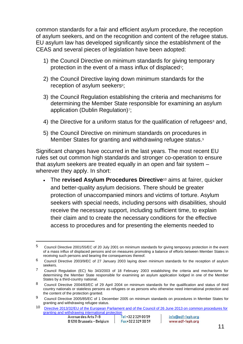common standards for a fair and efficient asylum procedure, the reception of asylum seekers, and on the recognition and content of the refugee status. EU asylum law has developed significantly since the establishment of the CEAS and several pieces of legislation have been adopted:

- 1) the Council Directive on minimum standards for giving temporary protection in the event of a mass influx of displaced<sup>5</sup>;
- 2) the Council Directive laying down minimum standards for the reception of asylum seekers<sup>6</sup>;
- 3) the Council Regulation establishing the criteria and mechanisms for determining the Member State responsible for examining an asylum application (Dublin Regulation)<sup>7</sup>;
- 4) the Directive for a uniform status for the qualification of refugees<sup>8</sup> and,
- 5) the Council Directive on minimum standards on procedures in Member States for granting and withdrawing refugee status.<sup>9</sup>

Significant changes have occurred in the last years. The most recent EU rules set out common high standards and stronger co-operation to ensure that asylum seekers are treated equally in an open and fair system – wherever they apply. In short:

• The **revised Asylum Procedures Directive**<sup>10</sup> aims at fairer, quicker and better-quality asylum decisions. There should be greater protection of unaccompanied minors and victims of torture. Asylum seekers with special needs, including persons with disabilities, should receive the necessary support, including sufficient time, to explain their claim and to create the necessary conditions for the effective access to procedures and for presenting the elements needed to

<sup>&</sup>lt;sup>5</sup> Council Directive 2001/55/EC of 20 July 2001 on minimum standards for giving temporary protection in the event of a mass influx of displaced persons and on measures promoting a balance of efforts between Member States in receiving such persons and bearing the consequences thereof.

<sup>6</sup> Council Directive 2003/9/EC of 27 January 2003 laying down minimum standards for the reception of asylum seekers.

<sup>7</sup> Council Regulation (EC) No 343/2003 of 18 February 2003 establishing the criteria and mechanisms for determining the Member State responsible for examining an asylum application lodged in one of the Member States by a third-country national.

<sup>8</sup> Council Directive 2004/83/EC of 29 April 2004 on minimum standards for the qualification and status of third country nationals or stateless persons as refugees or as persons who otherwise need international protection and the content of the protection granted.

<sup>9</sup> Council Directive 2005/85/EC of 1 December 2005 on minimum standards on procedures in Member States for granting and withdrawing refugee status.

<sup>10</sup> [Directive 2013/32/EU of the European Parliament and of the Council of 26](https://eur-lex.europa.eu/legal-content/EN/TXT/?uri=celex:32013L0032) June 2013 on common procedures for [granting and withdrawing international protection](https://eur-lex.europa.eu/legal-content/EN/TXT/?uri=celex:32013L0032)<br>Avenue des Arts 7-8 | Tel +32 2 329 00 59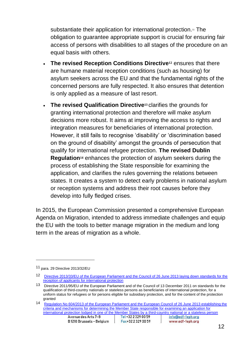substantiate their application for international protection.<sup>11</sup> The obligation to guarantee appropriate support is crucial for ensuring fair access of persons with disabilities to all stages of the procedure on an equal basis with others.

- **The revised Reception Conditions Directive<sup>12</sup>** ensures that there are humane material reception conditions (such as housing) for asylum seekers across the EU and that the fundamental rights of the concerned persons are fully respected. It also ensures that detention is only applied as a measure of last resort.
- **The revised Qualification Directive<sup>13</sup>** clarifies the grounds for granting international protection and therefore will make asylum decisions more robust. It aims at improving the access to rights and integration measures for beneficiaries of international protection. However, it still fails to recognise 'disability' or 'discrimination based on the ground of disability' amongst the grounds of persecution that qualify for international refugee protection. **The revised Dublin Regulation<sup>14</sup>** enhances the protection of asylum seekers during the process of establishing the State responsible for examining the application, and clarifies the rules governing the relations between states. It creates a system to detect early problems in national asylum or reception systems and address their root causes before they develop into fully fledged crises.

In 2015, the European Commission presented a comprehensive European Agenda on Migration, intended to address immediate challenges and equip the EU with the tools to better manage migration in the medium and long term in the areas of migration as a whole.

<sup>11</sup> para. 29 Directive 2013/32/EU

<sup>12</sup> [Directive 2013/33/EU of the European Parliament and the Council of 26 June 2013 laying down standards for the](https://eur-lex.europa.eu/legal-content/EN/TXT/PDF/?uri=CELEX:32013L0033&from=EN)  [reception of applicants for international protection](https://eur-lex.europa.eu/legal-content/EN/TXT/PDF/?uri=CELEX:32013L0033&from=EN)

<sup>13</sup> Directive 2011/95/EU of the European Parliament and of the Council of 13 December 2011 on standards for the qualification of third-country nationals or stateless persons as beneficiaries of international protection, for a uniform status for refugees or for persons eligible for subsidiary protection, and for the content of the protection granted

<sup>14</sup> Regulation No 604/2013 of the European Parliament and the European Council of 26 June 2013 establishing the [criteria and mechanisms for determining the Member State responsible for examining an application for](https://eur-lex.europa.eu/legal-content/EN/TXT/PDF/?uri=CELEX:32013R0604&from=EN)  [international protection lodged in one of the Member States by a third-country national or a stateless person](https://eur-lex.europa.eu/legal-content/EN/TXT/PDF/?uri=CELEX:32013R0604&from=EN)<br>Avenue des Arts 7-8 | Tel +32 2 329 00 59 | info@edf-feph.org info@edf-feph.org B1210 Brussels - Belaium Fax+32 2 329 00 59 www.edf-feph.org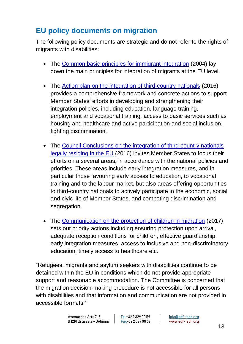## <span id="page-13-0"></span>**EU policy documents on migration**

The following policy documents are strategic and do not refer to the rights of migrants with disabilities:

- The [Common basic principles for immigrant integration](https://ec.europa.eu/migrant-integration/librarydoc/common-basic-principles-for-immigrant-integration-policy-in-the-eu) (2004) lay down the main principles for integration of migrants at the EU level.
- The [Action plan on the integration of third-country nationals](https://ec.europa.eu/home-affairs/sites/homeaffairs/files/what-we-do/policies/european-agenda-migration/proposal-implementation-package/docs/20160607/communication_action_plan_integration_third-country_nationals_en.pdf) (2016) provides a comprehensive framework and concrete actions to support Member States' efforts in developing and strengthening their integration policies, including education, language training, employment and vocational training, access to basic services such as housing and healthcare and active participation and social inclusion, fighting discrimination.
- The [Council Conclusions on the integration of third-country nationals](http://data.consilium.europa.eu/doc/document/ST-15312-2016-INIT/en/pdf)  [legally residing in the EU](http://data.consilium.europa.eu/doc/document/ST-15312-2016-INIT/en/pdf) (2016) invites Member States to focus their efforts on a several areas, in accordance with the national policies and priorities. These areas include early integration measures, and in particular those favouring early access to education, to vocational training and to the labour market, but also areas offering opportunities to third-country nationals to actively participate in the economic, social and civic life of Member States, and combating discrimination and segregation.
- The [Communication on the protection of children in migration](https://ec.europa.eu/home-affairs/sites/homeaffairs/files/what-we-do/policies/european-agenda-migration/20170412_communication_on_the_protection_of_children_in_migration_en.pdf) (2017) sets out priority actions including ensuring protection upon arrival, adequate reception conditions for children, effective guardianship, early integration measures, access to inclusive and non-discriminatory education, timely access to healthcare etc.

"Refugees, migrants and asylum seekers with disabilities continue to be detained within the EU in conditions which do not provide appropriate support and reasonable accommodation. The Committee is concerned that the migration decision-making procedure is not accessible for all persons with disabilities and that information and communication are not provided in accessible formats."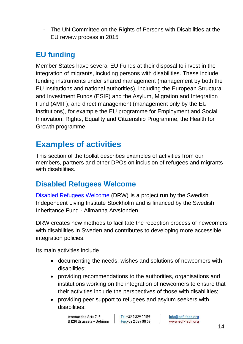- The UN Committee on the Rights of Persons with Disabilities at the EU review process in 2015

# <span id="page-14-0"></span>**EU funding**

Member States have several EU Funds at their disposal to invest in the integration of migrants, including persons with disabilities. These include funding instruments under shared management (management by both the EU institutions and national authorities), including the European Structural and Investment Funds (ESIF) and the Asylum, Migration and Integration Fund (AMIF), and direct management (management only by the EU institutions), for example the EU programme for Employment and Social Innovation, Rights, Equality and Citizenship Programme, the Health for Growth programme.

# <span id="page-14-1"></span>**Examples of activities**

This section of the toolkit describes examples of activities from our members, partners and other DPOs on inclusion of refugees and migrants with disabilities.

## <span id="page-14-2"></span>**Disabled Refugees Welcome**

[Disabled Refugees Welcome](https://disabledrefugeeswelcome.se/) (DRW) is a project run by the Swedish Independent Living Institute Stockholm and is financed by the Swedish Inheritance Fund - Allmänna Arvsfonden.

DRW creates new methods to facilitate the reception process of newcomers with disabilities in Sweden and contributes to developing more accessible integration policies.

Its main activities include

- documenting the needs, wishes and solutions of newcomers with disabilities;
- providing recommendations to the authorities, organisations and institutions working on the integration of newcomers to ensure that their activities include the perspectives of those with disabilities;
- providing peer support to refugees and asylum seekers with disabilities;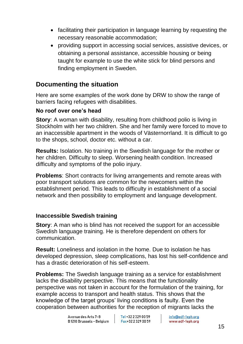- facilitating their participation in language learning by requesting the necessary reasonable accommodation;
- providing support in accessing social services, assistive devices, or obtaining a personal assistance, accessible housing or being taught for example to use the white stick for blind persons and finding employment in Sweden.

#### <span id="page-15-0"></span>**Documenting the situation**

Here are some examples of the work done by DRW to show the range of barriers facing refugees with disabilities.

#### **No roof over one's head**

**Story:** A woman with disability, resulting from childhood polio is living in Stockholm with her two children. She and her family were forced to move to an inaccessible apartment in the woods of Västernorrland. It is difficult to go to the shops, school, doctor etc. without a car.

**Results:** Isolation. No training in the Swedish language for the mother or her children. Difficulty to sleep. Worsening health condition. Increased difficulty and symptoms of the polio injury.

**Problems**: Short contracts for living arrangements and remote areas with poor transport solutions are common for the newcomers within the establishment period. This leads to difficulty in establishment of a social network and then possibility to employment and language development.

#### **Inaccessible Swedish training**

**Story**: A man who is blind has not received the support for an accessible Swedish language training. He is therefore dependent on others for communication.

**Result:** Loneliness and isolation in the home. Due to isolation he has developed depression, sleep complications, has lost his self-confidence and has a drastic deterioration of his self-esteem.

**Problems:** The Swedish language training as a service for establishment lacks the disability perspective. This means that the functionality perspective was not taken in account for the formulation of the training, for example access to transport and health status. This shows that the knowledge of the target groups' living conditions is faulty. Even the cooperation between authorities for the reception of migrants lacks the

> Avenue des Arts 7-8 B1210 Brussels - Belgium

Tel +32 2 329 00 59 Fax+32 2 329 00 59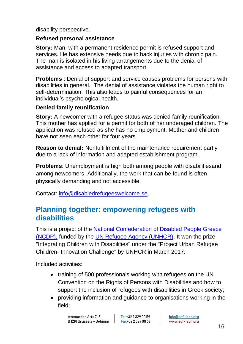disability perspective.

#### **Refused personal assistance**

**Story:** Man, with a permanent residence permit is refused support and services. He has extensive needs due to back injuries with chronic pain. The man is isolated in his living arrangements due to the denial of assistance and access to adapted transport.

**Problems** : Denial of support and service causes problems for persons with disabilities in general. The denial of assistance violates the human right to self-determination. This also leads to painful consequences for an individual's psychological health.

#### **Denied family reunification**

**Story:** A newcomer with a refugee status was denied family reunification. This mother has applied for a permit for both of her underaged children. The application was refused as she has no employment. Mother and children have not seen each other for four years.

**Reason to denial:** Nonfulfillment of the maintenance requirement partly due to a lack of information and adapted establishment program.

**Problems**: Unemployment is high both among people with disabilitiesand among newcomers. Additionally, the work that can be found is often physically demanding and not accessible.

Contact: [info@disabledrefugeeswelcome.se.](mailto:info@disabledrefugeeswelcome.se)

## <span id="page-16-0"></span>**Planning together: empowering refugees with disabilities**

This is a project of the [National Confederation of Disabled People Greece](http://www.esaea.gr/)  [\(NCDP\),](http://www.esaea.gr/) funded by the [UN Refugee Agency \(UNHCR\).](https://www.unhcr.org/) It won the prize "Integrating Children with Disabilities" under the "Project Urban Refugee Children- Innovation Challenge" by UNHCR in March 2017.

Included activities:

- training of 500 professionals working with refugees on the UN Convention on the Rights of Persons with Disabilities and how to support the inclusion of refugees with disabilities in Greek society;
- providing information and guidance to organisations working in the field;

Tel +32 2 329 00 59 Fax+32 2 329 00 59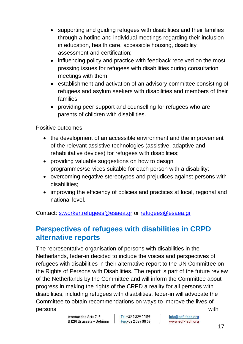- supporting and guiding refugees with disabilities and their families through a hotline and individual meetings regarding their inclusion in education, health care, accessible housing, disability assessment and certification;
- influencing policy and practice with feedback received on the most pressing issues for refugees with disabilities during consultation meetings with them;
- establishment and activation of an advisory committee consisting of refugees and asylum seekers with disabilities and members of their families;
- providing peer support and counselling for refugees who are parents of children with disabilities.

Positive outcomes:

- the development of an accessible environment and the improvement of the relevant assistive technologies (assistive, adaptive and rehabilitative devices) for refugees with disabilities;
- providing valuable suggestions on how to design programmes/services suitable for each person with a disability;
- overcoming negative stereotypes and prejudices against persons with disabilities;
- improving the efficiency of policies and practices at local, regional and national level.

Contact: [s.worker.refugees@esaea.gr](mailto:s.worker.refugees@esaea.gr) or [refugees@esaea.gr](mailto:refugees@esaea.gr)

## <span id="page-17-0"></span>**Perspectives of refugees with disabilities in CRPD alternative reports**

The representative organisation of persons with disabilities in the Netherlands, Ieder-in decided to include the voices and perspectives of refugees with disabilities in their alternative report to the UN Committee on the Rights of Persons with Disabilities. The report is part of the future review of the Netherlands by the Committee and will inform the Committee about progress in making the rights of the CRPD a reality for all persons with disabilities, including refugees with disabilities. Ieder-in will advocate the Committee to obtain recommendations on ways to improve the lives of persons with the contract of the contract of the contract of the contract of the contract of the contract of the contract of the contract of the contract of the contract of the contract of the contract of the contract of t

> Avenue des Arts 7-8 B1210 Brussels - Belaium

Tel +32 2 329 00 59 Fax+32 2 329 00 59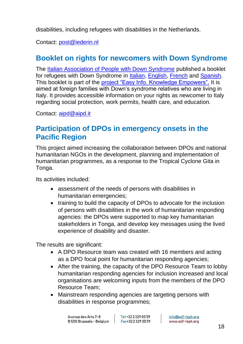disabilities, including refugees with disabilities in the Netherlands.

Contact: [post@iederin.nl](mailto:post@iederin.nl)

## <span id="page-18-0"></span>**Booklet on rights for newcomers with Down Syndrome**

The [Italian Association of People with Down Syndrome](https://aipd.it/down-to-italy-stranieri-con-disabilita-in-italia/) published a booklet for refugees with Down Syndrome in [Italian,](https://aipd.it/wp-content/uploads/2014/09/Down-to-Italy-italiano-Qaipd23.pdf) [English,](https://aipd.it/wp-content/uploads/2014/09/Down-to-Italy-inglese-Qaipd23.pdf) [French](https://aipd.it/wp-content/uploads/2014/09/Down-to-Italy-francese-Qaipd23.pdf) and [Spanish.](https://aipd.it/wp-content/uploads/2014/09/Down-to-Italy-spagnolo-Qaipd23.pdf) This booklet is part of the [project "Easy Info. Knowledge Empowers".](https://aipd.it/easy-info-sapere-e-potere/) It is aimed at foreign families with Down's syndrome relatives who are living in Italy. It provides accessible information on your rights as newcomer to Italy regarding social protection, work permits, health care, and education.

Contact: [aipd@aipd.it](mailto:aipd@aipd.it)

## <span id="page-18-1"></span>**Participation of DPOs in emergency onsets in the Pacific Region**

This project aimed increasing the collaboration between DPOs and national humanitarian NGOs in the development, planning and implementation of humanitarian programmes, as a response to the Tropical Cyclone Gita in Tonga.

Its activities included:

- assessment of the needs of persons with disabilities in humanitarian emergencies;
- training to build the capacity of DPOs to advocate for the inclusion of persons with disabilities in the work of humanitarian responding agencies: the DPOs were supported to map key humanitarian stakeholders in Tonga, and develop key messages using the lived experience of disability and disaster.

The results are significant:

- A DPO Resource team was created with 16 members and acting as a DPO focal point for humanitarian responding agencies;
- After the training, the capacity of the DPO Resource Team to lobby humanitarian responding agencies for inclusion increased and local organisations are welcoming inputs from the members of the DPO Resource Team;
- Mainstream responding agencies are targeting persons with disabilities in response programmes;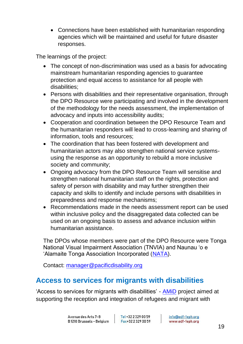• Connections have been established with humanitarian responding agencies which will be maintained and useful for future disaster responses.

The learnings of the project:

- The concept of non-discrimination was used as a basis for advocating mainstream humanitarian responding agencies to guarantee protection and equal access to assistance for all people with disabilities;
- Persons with disabilities and their representative organisation, through the DPO Resource were participating and involved in the development of the methodology for the needs assessment, the implementation of advocacy and inputs into accessibility audits;
- Cooperation and coordination between the DPO Resource Team and the humanitarian responders will lead to cross-learning and sharing of information, tools and resources;
- The coordination that has been fostered with development and humanitarian actors may also strengthen national service systemsusing the response as an opportunity to rebuild a more inclusive society and community;
- Ongoing advocacy from the DPO Resource Team will sensitise and strengthen national humanitarian staff on the rights, protection and safety of person with disability and may further strengthen their capacity and skills to identify and include persons with disabilities in preparedness and response mechanisms;
- Recommendations made in the needs assessment report can be used within inclusive policy and the disaggregated data collected can be used on an ongoing basis to assess and advance inclusion within humanitarian assistance.

The DPOs whose members were part of the DPO Resource were Tonga National Visual Impairment Association (TNVIA) and Naunau 'o e 'Alamaite Tonga Association Incorporated [\(NATA\)](http://onefunky.wayfunky.com/nata/intro.htm#_blank).

Contact: [manager@pacificdisability.org](mailto:manager@pacificdisability.org)

## <span id="page-19-0"></span>**Access to services for migrants with disabilities**

'Access to services for migrants with disabilities' - [AMiD](https://www.easpd.eu/en/content/amid) project aimed at supporting the reception and integration of refugees and migrant with

Tel +32 2 329 00 59 Fax+32 2 329 00 59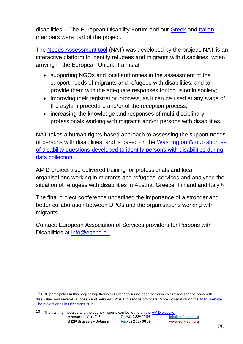disabilities.<sup>15</sup> The European Disability Forum and our [Greek](http://www.esaea.gr/) and [Italian](http://www.dpi-europe.org/organizations-members-of.html) members were part of the project.

The [Needs Assessment tool](https://amidproject.eu/) (NAT) was developed by the project. NAT is an interactive platform to identify refugees and migrants with disabilities, when arriving in the European Union. It aims at

- supporting NGOs and local authorities in the assessment of the support needs of migrants and refugees with disabilities, and to provide them with the adequate responses for inclusion in society;
- improving their registration process, as it can be used at any stage of the asylum procedure and/or of the reception process;
- increasing the knowledge and responses of multi-disciplinary professionals working with migrants and/or persons with disabilities.

NAT takes a human rights-based approach to assessing the support needs of persons with disabilities, and is based on the [Washington Group short set](http://www.washingtongroup-disability.com/washington-group-question-sets/short-set-of-disability-questions/)  [of disability questions developed to identify persons with disabilities during](http://www.washingtongroup-disability.com/washington-group-question-sets/short-set-of-disability-questions/)  [data collection.](http://www.washingtongroup-disability.com/washington-group-question-sets/short-set-of-disability-questions/)

AMiD project also delivered training for professionals and local organisations working in migrants and refugees' services and analysed the situation of refugees with disabilities in Austria, Greece, Finland and Italy.<sup>16</sup>

The final project conference underlined the importance of a stronger and better collaboration between DPOs and the organisations working with migrants.

Contact: European Association of Services providers for Persons with Disabilities at [info@easpd.eu.](mailto:info@easpd.eu)

16 The training modules and the country reports can be found on the [AMiD website.](https://www.easpd.eu/en/content/amid)<br>Avenue des Arts 7-8 **Tel +32 2 329 00 59** Tel +00 59 info@edf-feph.org B1210 Brussels - Belaium Fax+32 2 329 00 59 www.edf-feph.org

<sup>15</sup> EDF participates in this project together with European Association of Services Providers for persons with disabilities and several European and national DPOs and service providers. More information on th[e AMiD website.](https://www.easpd.eu/en/content/amid) The project ends in December 2019.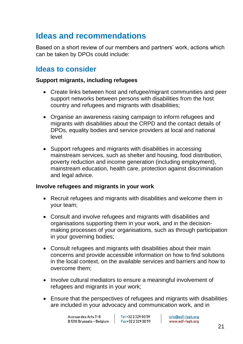# <span id="page-21-0"></span>**Ideas and recommendations**

Based on a short review of our members and partners' work, actions which can be taken by DPOs could include:

## <span id="page-21-1"></span>**Ideas to consider**

#### **Support migrants, including refugees**

- Create links between host and refugee/migrant communities and peer support networks between persons with disabilities from the host country and refugees and migrants with disabilities;
- Organise an awareness raising campaign to inform refugees and migrants with disabilities about the CRPD and the contact details of DPOs, equality bodies and service providers at local and national level
- Support refugees and migrants with disabilities in accessing mainstream services, such as shelter and housing, food distribution, poverty reduction and income generation (including employment), mainstream education, health care, protection against discrimination and legal advice.

#### **Involve refugees and migrants in your work**

- Recruit refugees and migrants with disabilities and welcome them in your team;
- Consult and involve refugees and migrants with disabilities and organisations supporting them in your work, and in the decisionmaking processes of your organisations, such as through participation in your governing bodies;
- Consult refugees and migrants with disabilities about their main concerns and provide accessible information on how to find solutions in the local context, on the available services and barriers and how to overcome them;
- Involve cultural mediators to ensure a meaningful involvement of refugees and migrants in your work;
- Ensure that the perspectives of refugees and migrants with disabilities are included in your advocacy and communication work, and in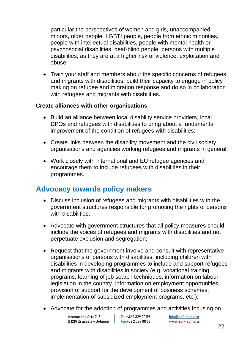particular the perspectives of women and girls, unaccompanied minors, older people, LGBTI people, people from ethnic minorities, people with intellectual disabilities, people with mental health or psychosocial disabilities, deaf-blind people, persons with multiple disabilities, as they are at a higher risk of violence, exploitation and abuse;

• Train your staff and members about the specific concerns of refugees and migrants with disabilities, build their capacity to engage in policy making on refugee and migration response and do so in collaboration with refugees and migrants with disabilities.

#### **Create alliances with other organisations**:

- Build an alliance between local disability service providers, local DPOs and refugees with disabilities to bring about a fundamental improvement of the condition of refugees with disabilities;
- Create links between the disability movement and the civil society organisations and agencies working refugees and migrants in general;
- Work closely with international and EU refugee agencies and encourage them to include refugees with disabilities in their programmes.

## <span id="page-22-0"></span>**Advocacy towards policy makers**

- Discuss inclusion of refugees and migrants with disabilities with the government structures responsible for promoting the rights of persons with disabilities:
- Advocate with government structures that all policy measures should include the voices of refugees and migrants with disabilities and not perpetuate exclusion and segregation;
- Request that the government involve and consult with representative organisations of persons with disabilities, including children with disabilities in developing programmes to include and support refugees and migrants with disabilities in society (e.g. vocational training programs, learning of job search techniques, information on labour legislation in the country, information on employment opportunities, provision of support for the development of business schemes, implementation of subsidized employment programs, etc.);
- Advocate for the adoption of programmes and activities focusing on

Avenue des Arts 7-8 B1210 Brussels - Belaium Tel +32 2 329 00 59 Fax+32 2 329 00 59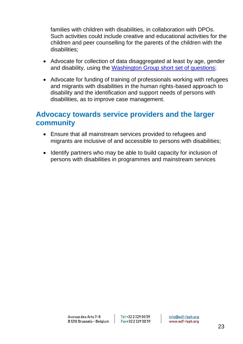families with children with disabilities, in collaboration with DPOs. Such activities could include creative and educational activities for the children and peer counselling for the parents of the children with the disabilities;

- Advocate for collection of data disaggregated at least by age, gender and disability, using the [Washington Group short set of questions;](http://www.washingtongroup-disability.com/washington-group-question-sets/short-set-of-disability-questions/)
- Advocate for funding of training of professionals working with refugees and migrants with disabilities in the human rights-based approach to disability and the identification and support needs of persons with disabilities, as to improve case management.

## <span id="page-23-0"></span>**Advocacy towards service providers and the larger community**

- Ensure that all mainstream services provided to refugees and migrants are inclusive of and accessible to persons with disabilities;
- Identify partners who may be able to build capacity for inclusion of persons with disabilities in programmes and mainstream services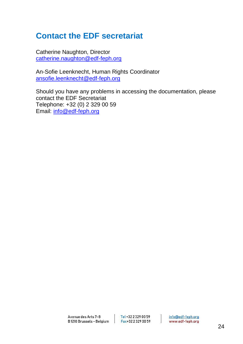# <span id="page-24-0"></span>**Contact the EDF secretariat**

Catherine Naughton, Director [catherine.naughton@edf-feph.org](mailto:catherine.naughton@edf-feph.org)

An-Sofie Leenknecht, Human Rights Coordinator [ansofie.leenknecht@edf-feph.org](mailto:ansofie.leenknecht@edf-feph.org)

Should you have any problems in accessing the documentation, please contact the EDF Secretariat Telephone: +32 (0) 2 329 00 59 Email: [info@edf-feph.org](mailto:info@edf-feph.org)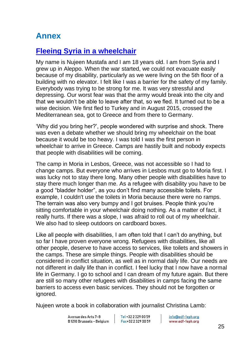# <span id="page-25-0"></span>**Annex**

## <span id="page-25-1"></span>**[Fleeing Syria in a wheelchair](http://www.edf-feph.org/newsroom/news/fleeing-syria-wheelchair-story-nujeen-mustafa)**

My name is Nujeen Mustafa and I am 18 years old. I am from Syria and I grew up in Aleppo. When the war started, we could not evacuate easily because of my disability, particularly as we were living on the 5th floor of a building with no elevator. I felt like I was a barrier for the safety of my family. Everybody was trying to be strong for me. It was very stressful and depressing. Our worst fear was that the army would break into the city and that we wouldn't be able to leave after that, so we fled. It turned out to be a wise decision. We first fled to Turkey and in August 2015, crossed the Mediterranean sea, got to Greece and from there to Germany.

'Why did you bring her?', people wondered with surprise and shock. There was even a debate whether we should bring my wheelchair on the boat because it would be too heavy. I was told I was the first person in wheelchair to arrive in Greece. Camps are hastily built and nobody expects that people with disabilities will be coming.

The camp in Moria in Lesbos, Greece, was not accessible so I had to change camps. But everyone who arrives in Lesbos must go to Moria first. I was lucky not to stay there long. Many other people with disabilities have to stay there much longer than me. As a refugee with disability you have to be a good "bladder holder", as you don't find many accessible toilets. For example, I couldn't use the toilets in Moria because there were no ramps. The terrain was also very bumpy and I got bruises. People think you're sitting comfortable in your wheelchair doing nothing. As a matter of fact, it really hurts. If there was a slope, I was afraid to roll out of my wheelchair. We also had to sleep outdoors on cardboard boxes.

Like all people with disabilities, I am often told that I can't do anything, but so far I have proven everyone wrong. Refugees with disabilities, like all other people, deserve to have access to services, like toilets and showers in the camps. These are simple things. People with disabilities should be considered in conflict situation, as well as in normal daily life. Our needs are not different in daily life than in conflict. I feel lucky that I now have a normal life in Germany. I go to school and I can dream of my future again. But there are still so many other refugees with disabilities in camps facing the same barriers to access even basic services. They should not be forgotten or ignored.

Nujeen wrote a book in collaboration with journalist Christina Lamb:

Tel +32 2 329 00 59 Fax+32 2 329 00 59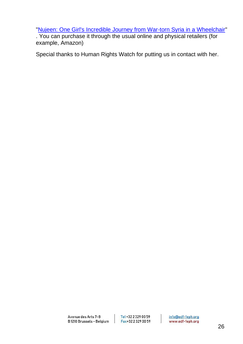["Nujeen: One Girl's Incredible Journey from War-torn Syria in a Wheelchair"](http://www.edf-feph.org/newsroom/news/fleeing-syria-wheelchair-story-nujeen-mustafa)

. You can purchase it through the usual online and physical retailers (for example, Amazon)

Special thanks to Human Rights Watch for putting us in contact with her.